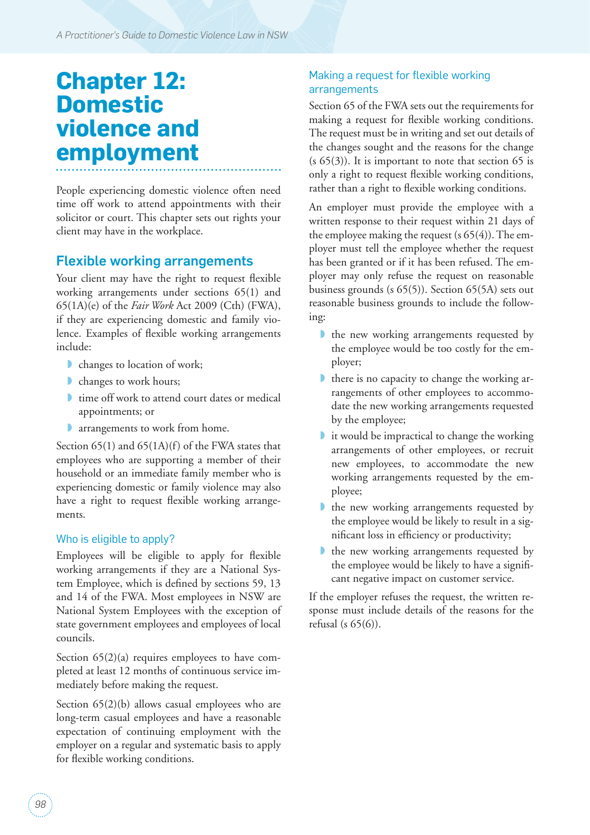# **Chapter 12: Domestic violence and employment**

People experiencing domestic violence often need time off work to attend appointments with their solicitor or court. This chapter sets out rights your client may have in the workplace.

## Flexible working arrangements

Your client may have the right to request flexible working arrangements under sections 65(1) and 65(1A)(e) of the *Fair Work* Act 2009 (Cth) (FWA), if they are experiencing domestic and family violence. Examples of flexible working arrangements include:

- changes to location of work;
- **■** changes to work hours;
- **■** time off work to attend court dates or medical appointments; or
- **a** arrangements to work from home.

Section  $65(1)$  and  $65(1)$ (f) of the FWA states that employees who are supporting a member of their household or an immediate family member who is experiencing domestic or family violence may also have a right to request flexible working arrangements.

#### Who is eligible to apply?

Employees will be eligible to apply for flexible working arrangements if they are a National System Employee, which is defined by sections 59, 13 and 14 of the FWA. Most employees in NSW are National System Employees with the exception of state government employees and employees of local councils.

Section  $65(2)(a)$  requires employees to have completed at least 12 months of continuous service immediately before making the request.

Section  $65(2)(b)$  allows casual employees who are long-term casual employees and have a reasonable expectation of continuing employment with the employer on a regular and systematic basis to apply for flexible working conditions.

#### Making a request for flexible working arrangements

Section 65 of the FWA sets out the requirements for making a request for flexible working conditions. The request must be in writing and set out details of the changes sought and the reasons for the change  $(s 65(3))$ . It is important to note that section 65 is only a right to request flexible working conditions, rather than a right to flexible working conditions.

An employer must provide the employee with a written response to their request within 21 days of the employee making the request (s 65(4)). The employer must tell the employee whether the request has been granted or if it has been refused. The employer may only refuse the request on reasonable business grounds (s 65(5)). Section 65(5A) sets out reasonable business grounds to include the following:

- I the new working arrangements requested by the employee would be too costly for the employer;
- there is no capacity to change the working arrangements of other employees to accommodate the new working arrangements requested by the employee;
- ◗ it would be impractical to change the working arrangements of other employees, or recruit new employees, to accommodate the new working arrangements requested by the employee;
- ◗ the new working arrangements requested by the employee would be likely to result in a significant loss in efficiency or productivity;
- ◗ the new working arrangements requested by the employee would be likely to have a significant negative impact on customer service.

If the employer refuses the request, the written response must include details of the reasons for the refusal (s 65(6)).